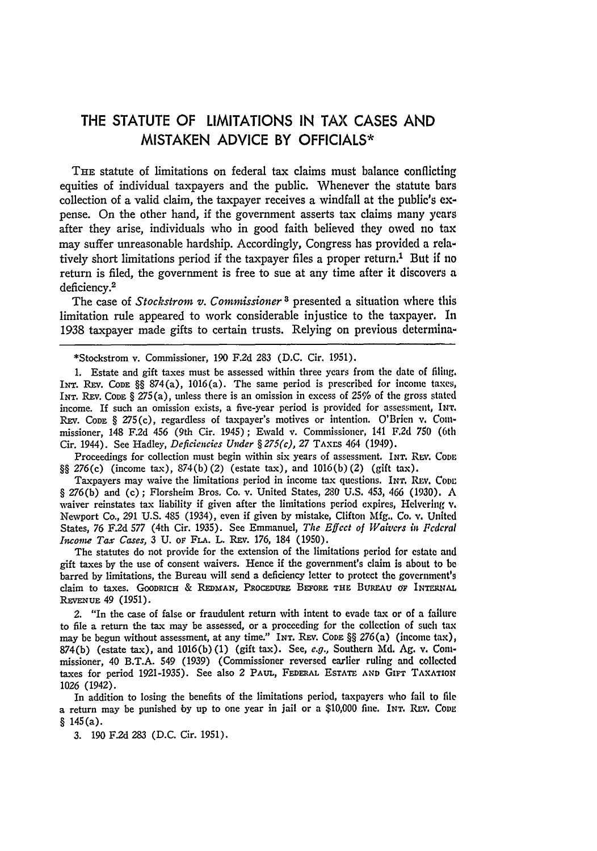## THE **STATUTE** OF **LIMITATIONS IN** TAX **CASES AND MISTAKEN ADVICE** BY **OFFICIALS\***

THE statute of limitations on federal tax claims must balance conflicting equities of individual taxpayers and the public. Whenever the statute bars collection of a valid claim, the taxpayer receives a windfall at the public's **ex**pense. On the other hand, if the government asserts tax claims many years after they arise, individuals who in good faith believed they owed no tax may suffer unreasonable hardship. Accordingly, Congress has provided a relatively short limitations period if the taxpayer files a proper return.<sup>1</sup> But if no return is filed, the government is free to sue at any time after it discovers a deficiency.<sup>2</sup>

The case of *Stockstrom v. Commissioner*<sup>3</sup> presented a situation where this limitation rule appeared to work considerable injustice to the taxpayer. In 1938 taxpayer made gifts to certain trusts. Relying on previous determina-

\*Stockstrom v. Commissioner, 190 F.2d 283 (D.C. Cir. 1951).

1. Estate and gift taxes must be assessed within three years from the date of filing. INT. REv. CODE **§§** 874(a), 1016(a). The same period is prescribed for income taxes, INT. RFv. **CODE** § 275(a), unless there is an omission in excess of 25% of the gross stated income. If such an omission exists, a five-year period is provided for assessment, **INT.** REV. CODE § 275(c), regardless of taxpayer's motives or intention. O'Brien v. Commissioner, 148 F.2d 456 (9th Cir. 1945); Ewald v. Commissioner, 141 F.2d 750 (6th Cir. 1944). See Hadley, *Deficiencies Under § 275(c),* 27 TAxrs 464 (1949).

Proceedings for collection must begin within six years of assessment. **INT.** REv. **CODE §§** 276(c) (income tax), 874(b) (2) (estate tax), and 1016(b) (2) (gift tax).

Taxpayers may waive the limitations period in income tax questions. INT. REV. Conn 9 276(b) and (c) ; Florsheim Bros. Co. v. United States, 280 U.S. 453, 466 (1930). A waiver reinstates tax liability if given after the limitations period expires, Helvering v. Newport Co., *291* U.S. 485 (1934), even if given by mistake, Clifton Mfg.. Co. v. United States, 76 F.2d 577 (4th Cir. 1935). See Emmanuel, *The Effect of Waivers in Federal Income Tax Cases,* 3 U. oF **FLA.** L. REv. 176, 184 (1950).

The statutes do not provide for the extension of the limitations period for estate and gift taxes by the use of consent waivers. Hence if the government's claim is about to be barred **by** limitations, the Bureau will send a deficiency letter to protect the government's claim to taxes. **GOODRICH** & **REDMAN, PxocEDuRa** BEFORE **THE** BuRaAu **Or INTERUAL REvENUE** 49 (1951).

*2.* "In the case of false or fraudulent return with intent to evade tax or of a failure to file a return the tax may be assessed, or a proceeding for the collection of such tax may be begun without assessment, at any time." INT. REv. CoDE **§§** 276(a) (income tax), 874(b) (estate tax), and 1016(b) (1) (gift tax). See, *e.g.,* Southern Md. Ag. v. Conimissioner, 40 B.T.A. 549 (1939) (Commissioner reversed earlier ruling and collected taxes for period 1921-1935). See also 2 **PAUL, FEDERAL ESTATE AND** GIFr **TAXATION** 1026 (1942).

In addition to losing the benefits of the limitations period, taxpayers who fail to file a return may be punished by up to one year in jail or a \$10,000 fine. INT. REV. CODE  $§ 145(a).$ 

**3.** 190 F.2d **283** (D.C. Cir. 1951).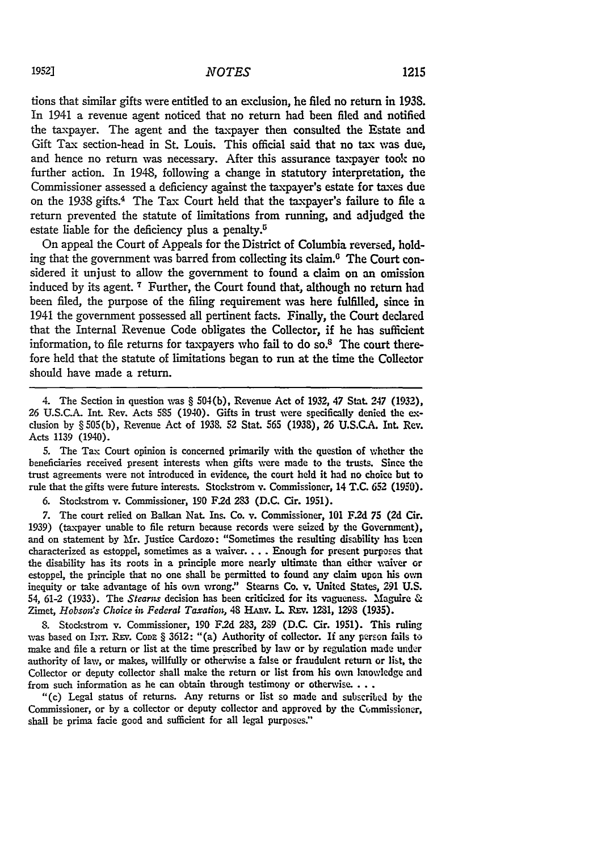tions that similar gifts were entitled to an exclusion, he filed no return in **1938.** In 1941 a revenue agent noticed that no return had been filed and notified the taxpayer. The agent and the taxpayer then consulted the Estate and Gift Tax section-head in St. Louis. This official said that no tax was due, and hence no return was necessary. After this assurance taxpayer took no further action. In 1948, following a change in statutory interpretation, the Commissioner assessed a deficiency against the taxpayer's estate for taxes due on the 1938 gifts.<sup>4</sup> The Tax Court held that the taxpayer's failure to file a return prevented the statute of limitations from running, and adjudged the estate liable for the deficiency plus a penalty. $5$ 

On appeal the Court of Appeals for the District of Columbia reversed, holding that the government was barred from collecting its claim.<sup>6</sup> The Court considered it unjust to allow the government to found a claim on an omission induced by its agent. **7** Further, the Court found that, although no return had been filed, the purpose of the filing requirement was here fulfilled, since in 1941 the government possessed all pertinent facts. Finally, the Court declared that the Internal Revenue Code obligates the Collector, if he has sufficient information, to file returns for taxpayers who fail to do so. $<sup>8</sup>$  The court there-</sup> fore held that the statute of limitations began to run at the time the Collector should have made a return.

4. The Section in question vwas § 504(b), Revenue Act of 1932, 47 Stat. 247 (1932), 26 U.S.C.A. Int. Rev. Acts **5S5** (1940). Gifts in trust were specifically denied the exclusion by § 505(b), Revenue Act of 1938. 52 Stat. **565** (1938), **26** U.S.C.A. Int. Rev. Acts 1139 (1940).

5. The Tax Court opinion is concerned primarily with the question of whether the beneficiaries received present interests when gifts were made to the trusts. Since the trust agreements were not introduced in evidence, the court held it had no choice but to rule that the gifts were future interests. Stockstrom v. Commissioner, 14 **T.C. 652 (1950).**

**6.** Stockstrom v. Commissioner, **190 F2d** 283 (D.C. Cir. 1951).

7. The court relied on Balkan Nat. Ins. Co. v. Commissioner, **101 F2d 75 (2d** Cir. **1939)** (taxpayer unable to file return because records were seized **by** the Government), and on statement **by** Mr. Justice Cardozo: "Sometimes the resulting disability has ben characterized as estoppel, sometimes as a waiver.... Enough for present purposes that the disability has its roots in a principle more nearly ultimate than either waiver or estoppel, the principle that no one shall be permitted to found any claim upon his **ovn** inequity or take advantage of his own wrong." Stearns Co. v. United States, **291** U.S. 54, 61-2 (1933). The *Stearns* decision has been criticized for its vagueness. Maguire & Zimet, *Hobson's Choice in Federal Taxation*, 48 HARV. L. REV. 1231, 1298 (1935).

**S.** Stockstrom v. Commissioner, 190 F2d 23, **289** (D.C. Cir. 1951). This ruling was based on INT. REV. CODE § 3612: "(a) Authority of collector. If any person fails to make and file a return or list at the time prescribed by law or by regulation made under authority of law, or makes, willfully or otherwise a false or fraudulent return or list, the Collector or deputy collector shall make the return or list from his own knowledge and from such information as he can obtain through testimony or otherwise...

"(c) Legal status of returns. Any returns or list so made and subscribed **by** the Commissioner, or by a collector or deputy collector and approved by the Commissioner, shall be prima facie good and sufficient for all legal purposes."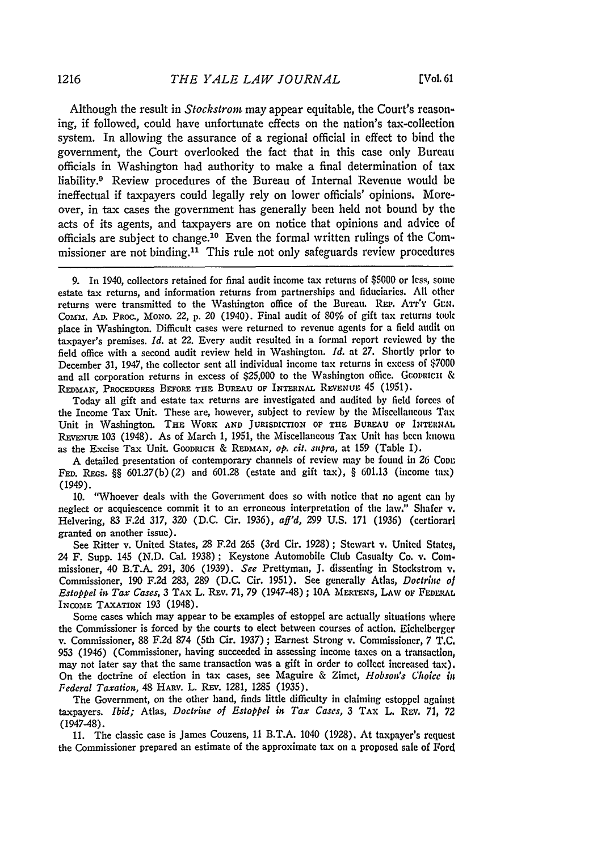Although the result in *Stackstrom* may appear equitable, the Court's reasoning, if followed, could have unfortunate effects on the nation's tax-collection system. In allowing the assurance of a regional official in effect to bind the government, the Court overlooked the fact that in this case only Bureau officials in Washington had authority to make a final determination of tax liability.9 Review procedures of the Bureau of Internal Revenue would be ineffectual if taxpayers could legally rely on lower officials' opinions. Moreover, in tax cases the government has generally been held not bound by the acts of its agents, and taxpayers are on notice that opinions and advice of officials are subject to change. 10 Even the formal written rulings of the Commissioner are not binding.<sup>11</sup> This rule not only safeguards review procedures

Today all gift and estate tax returns are investigated and audited by field forces of the Income Tax Unit. These are, however, subject to review by the Miscellaneous Tax Unit in Washington. **THE** WORK **AND** JURISDICTION OF **THE** BUREAu **OF INTERNAL** REVENUE 103 (1948). As of March 1, 1951, the Miscellaneous Tax Unit has been known as the Excise Tax Unit. GOODRICH & **REDMAN, op.** *cit. supra,* at 159 (Table I).

**A** detailed presentation of contemporary channels of review may be found in 26 Coon FED. REGS. §§  $601.27(b)(2)$  and  $601.28$  (estate and gift tax), §  $601.13$  (income tax) (1949).

**10.** "Whoever deals with the Government does so with notice that no agent can **by** neglect or acquiescence commit it to an erroneous interpretation of the law." Shafer v. Helvering, 83 F.2d 317, 320 (D.C. Cir. 1936), *aff'd,* 299 U.S. **171** (1936) (certiorari granted on another issue).

See Ritter v. United States, 28 F.2d **265** (3rd Cir. 1928) ; Stewart v. United States, 24 F. Supp. 145 (N.D. Cal. 1938); Keystone Automobile Club Casualty Co. v. Commissioner, 40 B.T.A. 291, 306 (1939). *See* Prettyman, **J.** dissenting in Stockstrom **v.** Commissioner, 190 **F.2d** 283, 289 **(D.C.** Cir. 1951). See generally Atlas, *Doctrine of Estoppel* int *Tax Cases,* 3 TAX L. Rxv. 71, 79 (1947-48) ; 10A **MERTENs, LAW** oF **FEDILRAL** INCOME **TAXATION** 193 (1948).

Some cases which may appear to be examples of estoppel are actually situations where the Commissioner is forced by the courts to elect between courses of action. Eichelberger v. Commissioner, 88 F.2d **874** (5th Cir. 1937); Earnest Strong v. Commissioner, 7 **T.C.** 953 (1946) (Commissioner, having succeeded in assessing income taxes on a transaction, may not later say that the same transaction was a gift in order to collect increased tax). On the doctrine of election in tax cases, see Maguire & Zimet, *Hobsonds Choice i Federal Taxation,* 48 HARV. L. REV. 1281, 1285 (1935).

The Government, on the other hand, finds little difficulty in claiming estoppel against taxpayers. *Ibid;* Atlas, *Doctrine of Estoppel in Tax Cases, 3* TAX L. REv. **71,** *72* (1947-48).

**11.** The classic case is James Couzens, 11 B.T.A. 1040 (1928). At taxpayer's request the Commissioner prepared an estimate of the approximate tax on a proposed sale of Ford

<sup>9.</sup> In 1940, collectors retained for final audit income tax returns of \$5000 or less, **some** estate tax returns, and information returns from partnerships and fiduciaries. **All** other returns were transmitted to the Washington office of the Bureau. REP. ATT'Y GEN. Comm. **AD.** PRoc., **MoNo.** 22, p. 20 (1940). Final audit of 80% of gift tax returns took place in Washington. Difficult cases were returned to revenue agents for a field audit on taxpayer's premises. *Id.* at 22. Every audit resulted in a formal report reviewed **by** the field office with a second audit review held in Washington. *Id.* at **27.** Shortly prior to December 31, 1947, the collector sent all individual income tax returns in excess of \$7000 and all corporation returns in excess of  $$25,000$  to the Washington office. Gcovatcut & REDMAN, PROCEDURES BEFORE THE BUREAU OF INTERNAL REVENUE 45 (1951).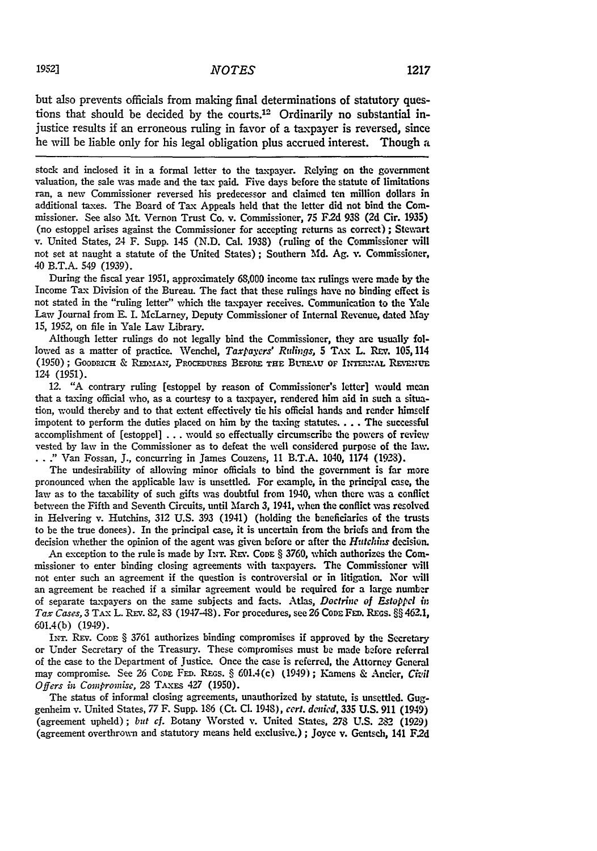but also prevents officials from making final determinations of statutory questions that should be decided by the courts.<sup>12</sup> Ordinarily no substantial injustice results if an erroneous ruling in favor of a taxpayer is reversed, since he will be liable only for his legal obligation plus accrued interest. Though a

stock and inclosed it in a formal letter to the taxpayer. Relying on the government valuation, the sale was made and the tax paid. Five days before the statute **of** limitations ran, a new Commissioner reversed his predecessor and claimed ten million dollars in additional taxes. The Board of Tax Appeals held that the letter did not bind the Commissioner. See also **Mt.** Vernon Trust Co. v. Commissioner, 75 F2d **938 (2d** Cir. **1935)** (no estoppel arises against the Commissioner for accepting returns as correct) ; Stewart v. United States, 24 F. Supp. 145 **(N.D.** Cal. **1938)** (ruling of the Commissioner will not set at naught a statute of the United States) ; Southern Md. Ag. v. Commissioner, 40 B.T.A. 549 (1939).

During the fiscal year **1951,** approximately **68,000** income tax rulings were made by the Income Tax Division of the Bureau. The fact that these rulings have no binding effect is not stated in the "ruling letter" which the taxpayer receives. Communication to the Yale Law Journal from **E.** I. McLarney, Deputy Commissioner of Internal Revenue, dated 'May **15,** *1952,* on file in Yale Law Library.

Although letter rulings do not legally bind the Commissioner, they are usually followed as a matter of practice. Wenchel, *Taxpayers' Rulings,* 5 **TAX** L. Rzv. 105,114 **(1950)**; GOODRICH & REDMAN, PROCEDURES BEFORE THE BUREAU OF INTERMAL REVENUE 124 **(1951).**

12. **"A** contrary ruling [estoppel **by** reason of Commissioner's letter] would mean that a taxing official who, as a courtesy to a taxpayer, rendered him aid in such a situation, would thereby and to that extent effectively tie his official hands and render himself impotent to perform the duties placed on him by the taxing statutes.... The successful accomplishment of [estoppel] . **.** . would so effectually circumscribe the powers of review vested **by** law in the Commissioner as to defeat the well considered purpose of the law. ." Van Fossan, J., concurring in James Couzens, 11 B.T.A. 1040, 1174 (1923).

The undesirability of allowing minor officials to bind the government is far more pronounced when the applicable law is unsettled. For example, in the principal case, the law as to the taxability of such gifts was doubtful from 1940, when there was a conflict between the Fifth and Seventh Circuits, until March **3,** 1941, when the conflict was resolved in Helvering v. Hutchins, **312** U.S. **393** (1941) (holding the beneficiaries of the trusts to be the true donees). In the principal case, it is uncertain from the briefs and from the decision whether the opinion of the agent was given before or after the *Hutchins* decision.

An exception to the rule is made by INT. REV. Code § 3760, which authorizes the Commissioner to enter binding closing agreements with taxpayers. The Commissioner will not enter such an agreement if the question is controversial or in litigation. Nor vill an agreement be reached if a similar agreement would be required for a large number of separate taxpayers on the same subjects and facts. Atlas, *Doctrine of Estoppel* is *Tax Cases, 3 TAX L. REV. 82, 83 (1947-48). For procedures, see 26 Code FED. REGS. §§ 462.1,* 601.4(b) (1949).

INT. REv. **CODE** § 3761 authorizes binding compromises if approved **by** the Secretary or Under Secretary of the Treasury. These compromises must be made before referral of the case to the Department of Justice. Once the case is referred, the Attorney General may compromise. See 26 CoDE FED. REGS. § 601.4(c) (1949); Kamens & Ancier, Civil *Offers in Compronise,* 28 TAxEs *427* (1950).

The status of informal closing agreements, unauthorized by statute, is unsettled. Guggenheim v. United States, 77 F. Supp. 186 (Ct. **CL** 1948), *cert. dcnied,* **335** U.S. 911 (1949) (agreement upheld); but cf. Botany Worsted v. United States, 278 U.S. 282 (1929) (agreement overthrown and statutory means held exclusive.) **;** Joyce v. Gentsch, 141 **F2d**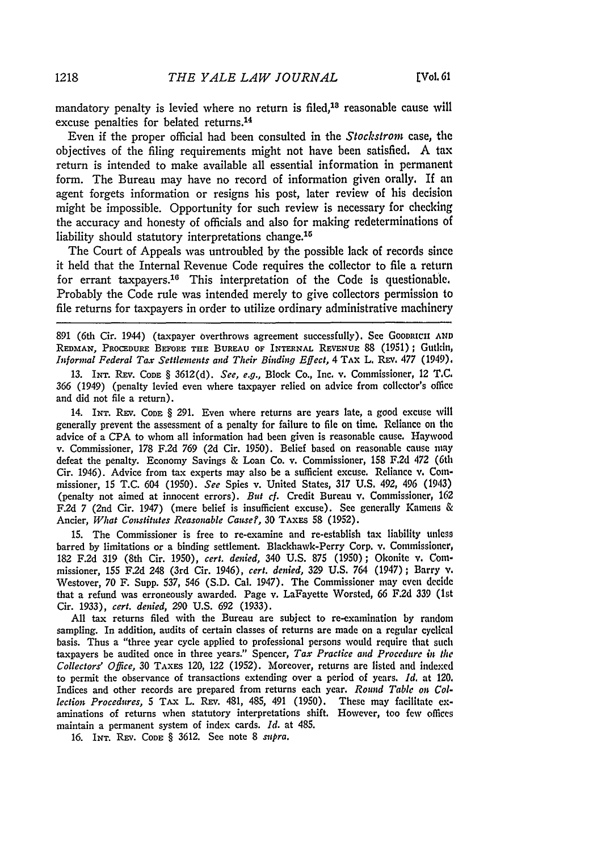mandatory penalty is levied where no return is filed,<sup>18</sup> reasonable cause will excuse penalties for belated returns.<sup>14</sup>

Even if the proper official had been consulted in the Stockstrom case, the objectives of the filing requirements might not have been satisfied. A tax return is intended to make available all essential information in permanent form. The Bureau may have no record of information given orally. **If** an agent forgets information or resigns his post, later review of his decision might be impossible. Opportunity for such review is necessary for checking the accuracy and honesty of officials and also for making redeterminations of liability should statutory interpretations change.<sup>15</sup>

The Court of Appeals was untroubled by the possible lack of records since it held that the Internal Revenue Code requires the collector to file a return for errant taxpayers.<sup>16</sup> This interpretation of the Code is questionable. Probably the Code rule was intended merely to give collectors permission to file returns for taxpayers in order to utilize ordinary administrative machinery

891 (6th Cir. 1944) (taxpayer overthrows agreement successfully). See GOODRICII AND REDMAN, PROCEDURE BEFORE THE BUREAU OF INTERNAL REVENUE 88 (1951) ; Gutkin, *Informal Federal Tax Settlements and Their Binding Effect,* 4 **TAX** L. REv. **477** (1949).

13. Ir. Rxv. **CODE** § 3612(d). *See, e.g.,* Block Co., Inc. v. Commissioner, 12 T.C. 366 (1949) (penalty levied even where taxpayer relied on advice from collector's office and did not file a return).

14. INT. **REV.** CODE § 291. Even where returns are years late, a good excuse will generally prevent the assessment of a penalty for failure to file on time. Reliance on the advice of a CPA to whom all information had been given is reasonable cause. Haywood v. Commissioner, 178 F.2d 769 (2d Cir. 1950). Belief based on reasonable cause may defeat the penalty. Economy Savings & Loan Co. v. Commissioner, 158 **F.2d** 472 (6th Cir. 1946). Advice from tax experts may also be a sufficient excuse. Reliance v. Commissioner, 15 T.C. 604 (1950). *See* Spies v. United States, 317 U.S. 492, 496 (1943) (penalty not aimed at innocent errors). *But ef.* Credit Bureau **v.** Commissioner, 162 F.2d 7 (2nd Cir. 1947) (mere belief is insufficient excuse). See generally Kamens & Ancier, *What Constitutes Reasonable Cause?,* 30 TAXES 58 (1952).

15. The Commissioner is free to re-examine and re-establish tax liability unless barred by limitations or a binding settlement. Blackhawk-Perry Corp. v. Commissioner, 182 F.2d 319 (8th Cir. 1950), *cert. denied,* 340 U.S. 875 (1950); Okonite v. Commissioner, 155 F.2d 248 (3rd Cir. 1946), *cert. denied,* 329 U.S. 764 (1947) **;** Barry **v.** Westover, 70 F. Supp. 537, 546 (S.D. Cal. 1947). The Commissioner may even decide that a refund was erroneously awarded. Page v. LaFayette Worsted, 66 F.2d 339 (1st Cir. 1933), *cert. denied,* 290 U.S. 692 (1933).

All tax returns filed with the Bureau are subject to re-examination by random sampling. In addition, audits of certain classes of returns are made on a regular cyclical basis. Thus a "three year cycle applied to professional persons would require that such taxpayers be audited once in three years." Spencer, *Tax Practice and Procedure in the Collectors' Office,* 30 **TAxES** 120, 122 (1952). Moreover, returns are listed and indexed to permit the observance of transactions extending over a period of years. *Id.* at 120. Indices and other records are prepared from returns each year. *Round Table on Collection Procedures,* 5 TAx L. **REv.** 481, 485, 491 (1950). These may facilitate **ex**aminations of returns when statutory interpretations shift. However, too few offices maintain a permanent system of index cards. *Id.* at 485.

16. **INT. REv. CODE** § 3612. See note 8 *supra.*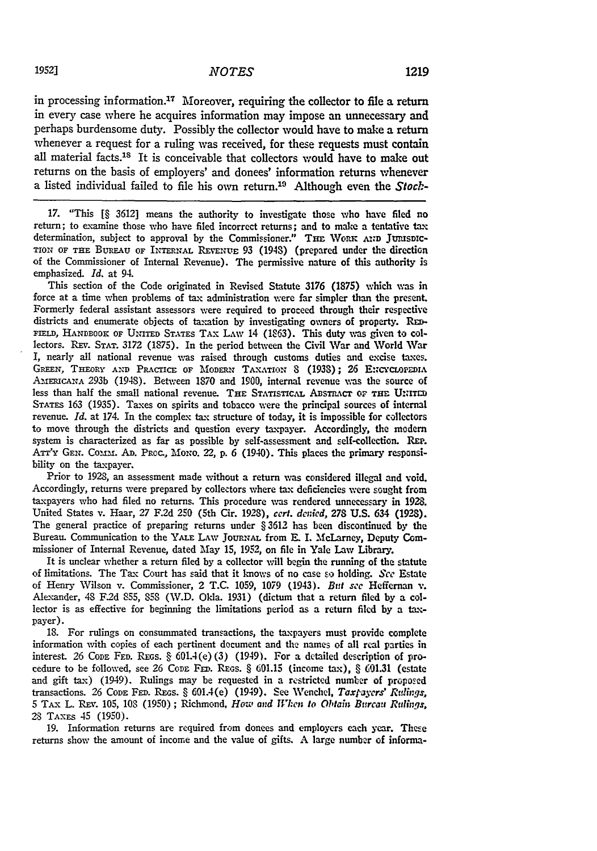in processing information.<sup>17</sup> Moreover, requiring the collector to file a return in every case where he acquires information may impose an unnecessary and perhaps burdensome duty. Possibly the collector would have to make a return whenever a request for a ruling was received, for these requests must contain all material facts.<sup>18</sup> It is conceivable that collectors would have to make out returns on the basis of employers' and donees' information returns whenever a listed individual failed to file his own return.19 Although even the *Stock-*

**17.** "This [§ 3612] means the authority to investigate those who have filed no return; to examine those who have filed incorrect returns; and to make a tentative tax determination, subject to approval by the Commissioner." THE WORK AND JURISDIC-TION OF THE BuREAu OF INTRNAL REVENUE **93** (194S) (prepared under the direction of the Commissioner of Internal Revenue). The permissive nature of this authority is emphasized. *Id.* at 94.

This section of the Code originated in Revised Statute **3176 (1875)** vhich **%as** in force at a time when problems of tax administration were far simpler than the present. Formerly federal assistant assessors were required to proceed through their respective districts and enumerate objects of taxation **by** investigating owners of property. RE-FIELD, HANDBOOK OF UNITED STATES TAX LAW 14 (1863). This duty was given to collectors. **REv. STAT. 3172** (1875). In the period between the Civil War and World War I, nearly all national revenue was raised through customs duties and excise taxes. GREEN, THEORY AND PRACTICE OF MODERN TAXATION 8 (1938); 26 ENCYCLOPEDIA AmEmCANA *293b* (1948). Between 1870 and 1900, internal revenue was the source of less than half the small national revenue. THE STATISTICAL ABSTRACT OF THE UNITED STATES 163 (1935). Taxes on spirits and tobacco were the principal sources of internal revenue. *Id.* at 174. In the complex *tax* structure of today, it is impossible for collectors to move through the districts and question every taxpayer. Accordingly, the modern system is characterized as far as possible **by** self-assessment and self-collection. REP. ATT'Y GEN. COMM. AD. PROC., MONO. 22, p. 6 (1940). This places the primary responsibility on the taxpayer.

Prior to 1928, an assessment made without a return was considered illegal and void. Accordingly, returns were prepared **by** collectors where *tax* deficiencies were sought from taxpayers who had filed no returns. This procedure was rendered unnecessary in 1928. United States v. Haar, **27** F.2d 250 (5th Cir. 1928), **cert.** *denied,* **273** U.S. 634 (1928). The general practice of preparing returns under § 3612 has been discontinued **by** the Bureau. Communication to the YALE LAW JOURNAL from E. I. McLarney, Deputy Commissioner of Internal Revenue, dated May 15, 1952, on file in Yale Law Library.

It is unclear whether a return filed **by** a collector will begin the running of the statute of limitations. The Tax Court has said that it kmows of no case so holding. *Sce* Estate of Henry Wilson v. Commissioner, 2 T.C. 1059, 1079 (1943). *Bit see* Heffernan v. Alexander, 48 F2d 855, *858* (W.D. Okla. 1931) (dictum that a return filed **by** a collector is as effective for beginning the limitations period as a return filed **by** a taxpayer).

18. For rulings on consummated transactions, the taxpayers must provide complete information with copies of each pertinent document and the names of all real parties in interest. 26 **CODE FED. REGS. §** 601.4(e) (3) (1949). For a detailed description of procedure to be followed, see **26 CODE** FED. REGs. § 601.15 (income tax), § 601.31 (estate and gift tax) (1949). Rulings may be requested in a restricted number of proposed transactions. 26 **CODE FED.** REGs. § 601.4(e) (1949). See Wenehel, *Taxpaycrs' Rtlinigr,* **5 TAx** L. REv. 105, 108 (1950) ; Richmond, *How and When to O!tain Burcaas Rulings,* 28 TAxEs 45 (1950).

19. Information returns are required from donees and employers each year. These returns show the amount of income and the value of gifts. **A** large number of informa